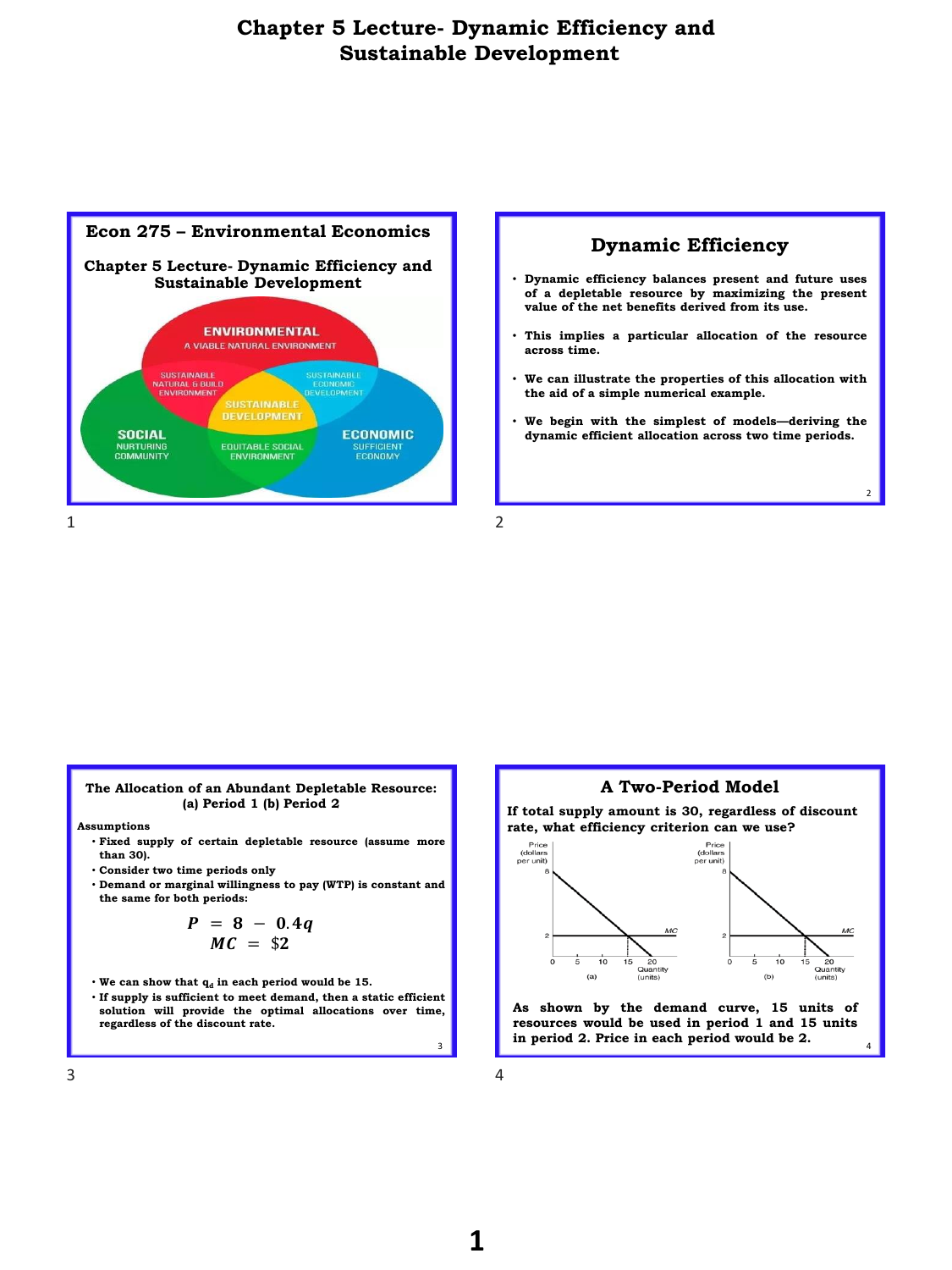



 $\overline{2}$ 





 $3 \t 4$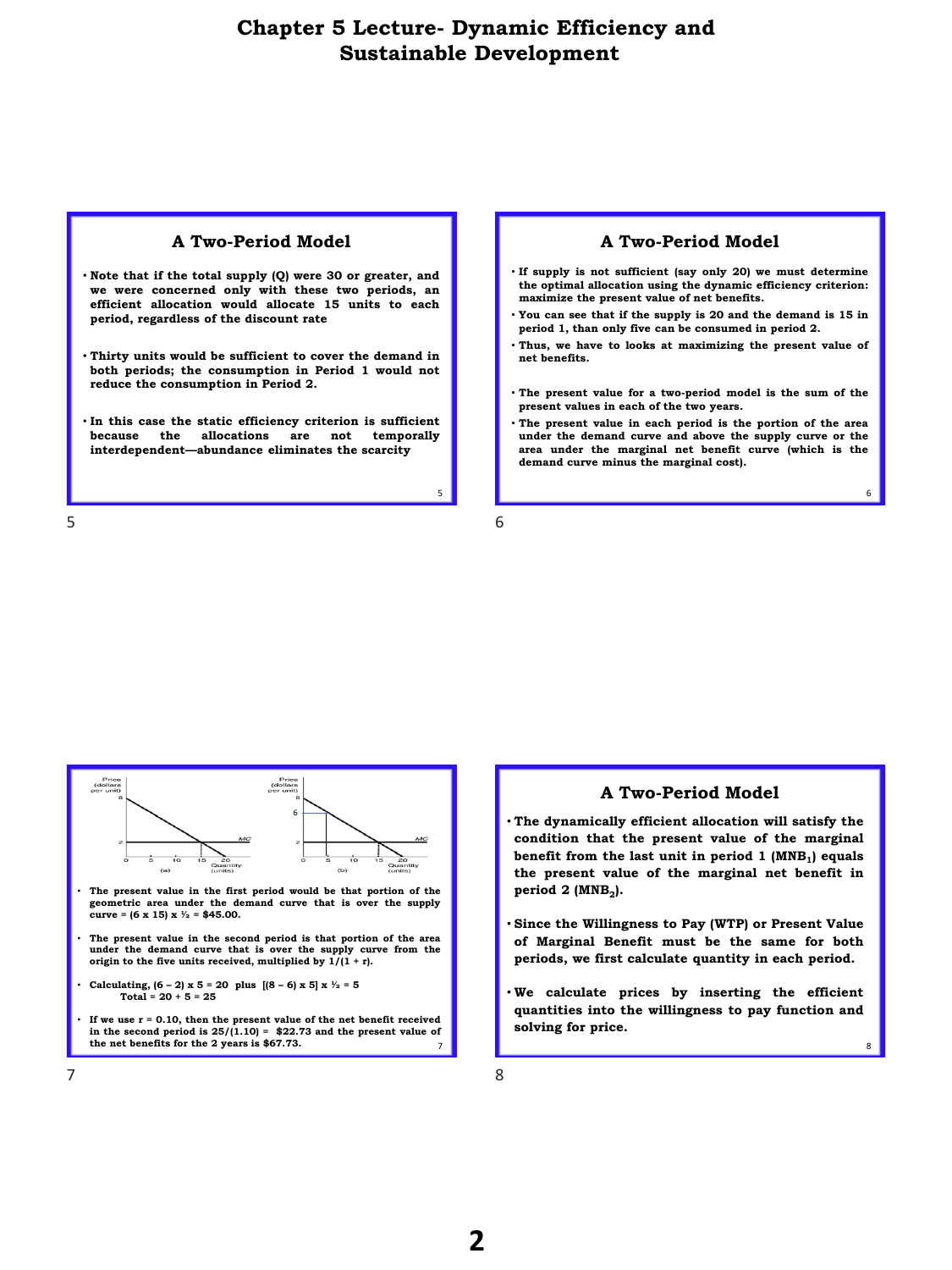#### **A Two-Period Model**

- **Note that if the total supply (Q) were 30 or greater, and we were concerned only with these two periods, an efficient allocation would allocate 15 units to each period, regardless of the discount rate**
- **Thirty units would be sufficient to cover the demand in both periods; the consumption in Period 1 would not reduce the consumption in Period 2.**
- **In this case the static efficiency criterion is sufficient because the allocations are not temporally interdependent—abundance eliminates the scarcity**

#### $5\overline{6}$

#### **A Two-Period Model**

- **If supply is not sufficient (say only 20) we must determine the optimal allocation using the dynamic efficiency criterion: maximize the present value of net benefits.**
- **You can see that if the supply is 20 and the demand is 15 in period 1, than only five can be consumed in period 2.**
- **Thus, we have to looks at maximizing the present value of net benefits.**
- **The present value for a two-period model is the sum of the present values in each of the two years.**
- **The present value in each period is the portion of the area under the demand curve and above the supply curve or the area under the marginal net benefit curve (which is the demand curve minus the marginal cost).**

6

8

5



### **A Two-Period Model**

- **The dynamically efficient allocation will satisfy the condition that the present value of the marginal benefit from the last unit in period 1 (MNB<sup>1</sup> ) equals the present value of the marginal net benefit in period 2 (MNB<sup>2</sup> ).**
- **Since the Willingness to Pay (WTP) or Present Value of Marginal Benefit must be the same for both periods, we first calculate quantity in each period.**
- **We calculate prices by inserting the efficient quantities into the willingness to pay function and solving for price.**

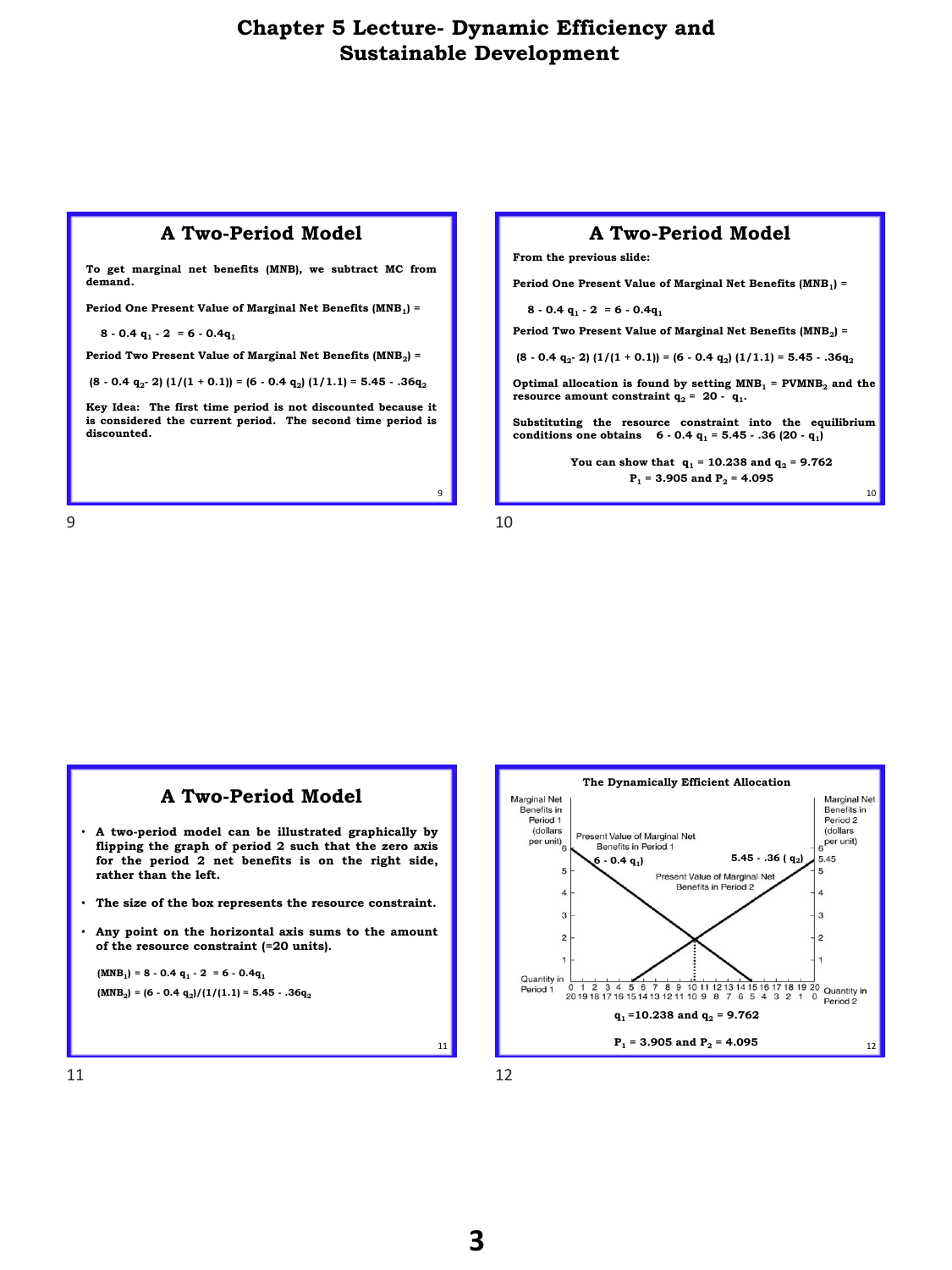### **A Two-Period Model**

**To get marginal net benefits (MNB), we subtract MC from demand.**

**Period One Present Value of Marginal Net Benefits (MNB<sup>1</sup> ) =**

**8 - 0.4 q<sup>1</sup> - 2 = 6 - 0.4q<sup>1</sup>**

**Period Two Present Value of Marginal Net Benefits (MNB<sup>2</sup> ) =**

**(8 - 0.4 q<sup>2</sup> - 2) (1/(1 + 0.1)) = (6 - 0.4 q<sup>2</sup> ) (1/1.1) = 5.45 - .36q<sup>2</sup>**

**Key Idea: The first time period is not discounted because it is considered the current period. The second time period is discounted.**



**From the previous slide:** 

**Period One Present Value of Marginal Net Benefits (MNB<sup>1</sup> ) =**

**8 - 0.4 q<sup>1</sup> - 2 = 6 - 0.4q<sup>1</sup>**

**Period Two Present Value of Marginal Net Benefits (MNB<sup>2</sup> ) =**

**(8 - 0.4 q<sup>2</sup> - 2) (1/(1 + 0.1)) = (6 - 0.4 q<sup>2</sup> ) (1/1.1) = 5.45 - .36q<sup>2</sup>**

**Optimal allocation is found by setting MNB<sup>1</sup> = PVMNB<sup>2</sup> and the resource amount constraint**  $q_2 = 20 - q_1$ .

**Substituting the resource constraint into the equilibrium conditions one obtains 6 - 0.4 q<sup>1</sup> = 5.45 - .36 (20 - q<sup>1</sup> )**

> **You can show that**  $q_1 = 10.238$  **and**  $q_2 = 9.762$ **P<sup>1</sup> = 3.905 and P<sup>2</sup> = 4.095**

> > 10



9



11 12